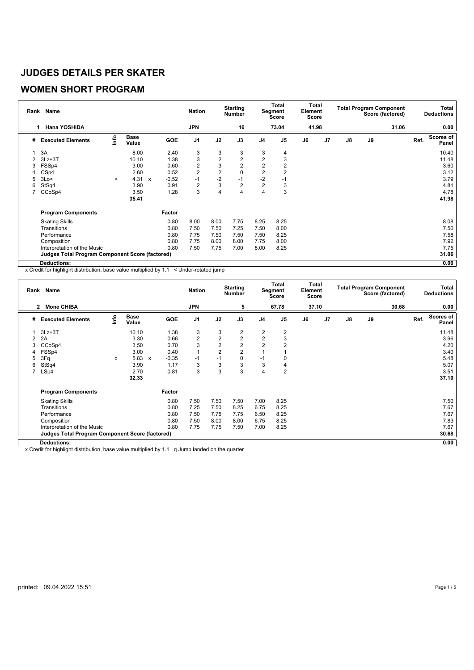#### **WOMEN SHORT PROGRAM**

|   | Rank Name                                              |         |                      |              |         | <b>Nation</b>  |                | <b>Starting</b><br><b>Number</b> |                | <b>Total</b><br>Segment<br>Score | Total<br>Element<br><b>Score</b> |                |               |    | <b>Total Program Component</b><br>Score (factored) |      | Total<br><b>Deductions</b> |
|---|--------------------------------------------------------|---------|----------------------|--------------|---------|----------------|----------------|----------------------------------|----------------|----------------------------------|----------------------------------|----------------|---------------|----|----------------------------------------------------|------|----------------------------|
|   | <b>Hana YOSHIDA</b><br>1                               |         |                      |              |         | <b>JPN</b>     |                | 16                               |                | 73.04                            | 41.98                            |                |               |    | 31.06                                              |      | 0.00                       |
| # | <b>Executed Elements</b>                               | lnfo    | <b>Base</b><br>Value |              | GOE     | J <sub>1</sub> | J2             | J3                               | J <sub>4</sub> | J <sub>5</sub>                   | J6                               | J <sub>7</sub> | $\mathsf{J}8$ | J9 |                                                    | Ref. | <b>Scores of</b><br>Panel  |
|   | 3A                                                     |         | 8.00                 |              | 2.40    | 3              | 3              | 3                                | 3              | 4                                |                                  |                |               |    |                                                    |      | 10.40                      |
|   | $3Lz + 3T$                                             |         | 10.10                |              | 1.38    | 3              | $\overline{2}$ | $\overline{2}$                   | $\overline{2}$ | 3                                |                                  |                |               |    |                                                    |      | 11.48                      |
| 3 | FSSp4                                                  |         | 3.00                 |              | 0.60    | 2              | 3              | $\overline{2}$                   | $\overline{2}$ | $\overline{2}$                   |                                  |                |               |    |                                                    |      | 3.60                       |
| 4 | CSp4                                                   |         | 2.60                 |              | 0.52    | $\overline{2}$ | $\overline{2}$ | 0                                | $\overline{2}$ | 2                                |                                  |                |               |    |                                                    |      | 3.12                       |
| 5 | 3Lo<                                                   | $\prec$ | 4.31                 | $\mathbf{x}$ | $-0.52$ | $-1$           | $-2$           | $-1$                             | $-2$           | -1                               |                                  |                |               |    |                                                    |      | 3.79                       |
| 6 | StSq4                                                  |         | 3.90                 |              | 0.91    | $\overline{2}$ | 3              | $\overline{2}$                   | $\overline{2}$ | 3                                |                                  |                |               |    |                                                    |      | 4.81                       |
|   | CCoSp4                                                 |         | 3.50                 |              | 1.28    | 3              | 4              | 4                                | $\overline{4}$ | 3                                |                                  |                |               |    |                                                    |      | 4.78                       |
|   |                                                        |         | 35.41                |              |         |                |                |                                  |                |                                  |                                  |                |               |    |                                                    |      | 41.98                      |
|   | <b>Program Components</b>                              |         |                      |              | Factor  |                |                |                                  |                |                                  |                                  |                |               |    |                                                    |      |                            |
|   | <b>Skating Skills</b>                                  |         |                      |              | 0.80    | 8.00           | 8.00           | 7.75                             | 8.25           | 8.25                             |                                  |                |               |    |                                                    |      | 8.08                       |
|   | Transitions                                            |         |                      |              | 0.80    | 7.50           | 7.50           | 7.25                             | 7.50           | 8.00                             |                                  |                |               |    |                                                    |      | 7.50                       |
|   | Performance                                            |         |                      |              | 0.80    | 7.75           | 7.50           | 7.50                             | 7.50           | 8.25                             |                                  |                |               |    |                                                    |      | 7.58                       |
|   | Composition                                            |         |                      |              | 0.80    | 7.75           | 8.00           | 8.00                             | 7.75           | 8.00                             |                                  |                |               |    |                                                    |      | 7.92                       |
|   | Interpretation of the Music                            |         |                      |              | 0.80    | 7.50           | 7.75           | 7.00                             | 8.00           | 8.25                             |                                  |                |               |    |                                                    |      | 7.75                       |
|   | <b>Judges Total Program Component Score (factored)</b> |         |                      |              |         |                |                |                                  |                |                                  |                                  |                |               |    |                                                    |      | 31.06                      |
|   | Deductions:                                            |         |                      |              |         |                |                |                                  |                |                                  |                                  |                |               |    |                                                    |      | 0.00                       |

x Credit for highlight distribution, base value multiplied by 1.1 < Under-rotated jump

|                | Rank Name                                              |      |                      |                           |            | <b>Nation</b>  |                | <b>Starting</b><br><b>Number</b> |                | Total<br>Segment<br><b>Score</b> | Total<br>Element<br><b>Score</b> |                |               |    | <b>Total Program Component</b><br>Score (factored) |      | Total<br><b>Deductions</b> |
|----------------|--------------------------------------------------------|------|----------------------|---------------------------|------------|----------------|----------------|----------------------------------|----------------|----------------------------------|----------------------------------|----------------|---------------|----|----------------------------------------------------|------|----------------------------|
|                | <b>Mone CHIBA</b><br>$\mathbf{2}$                      |      |                      |                           |            | <b>JPN</b>     |                | 5                                |                | 67.78                            | 37.10                            |                |               |    | 30.68                                              |      | 0.00                       |
| #              | <b>Executed Elements</b>                               | lnfo | <b>Base</b><br>Value |                           | <b>GOE</b> | J <sub>1</sub> | J2             | J3                               | J <sub>4</sub> | J <sub>5</sub>                   | J6                               | J <sub>7</sub> | $\mathsf{J}8$ | J9 |                                                    | Ref. | <b>Scores of</b><br>Panel  |
|                | $3Lz + 3T$                                             |      | 10.10                |                           | 1.38       | 3              | 3              | $\overline{2}$                   | 2              | 2                                |                                  |                |               |    |                                                    |      | 11.48                      |
| $\overline{2}$ | 2A                                                     |      | 3.30                 |                           | 0.66       | $\overline{2}$ | $\overline{2}$ | $\overline{2}$                   | $\overline{2}$ | 3                                |                                  |                |               |    |                                                    |      | 3.96                       |
| 3              | CCoSp4                                                 |      | 3.50                 |                           | 0.70       | 3              | $\overline{2}$ | $\overline{2}$                   | $\overline{2}$ | $\overline{2}$                   |                                  |                |               |    |                                                    |      | 4.20                       |
| 4              | FSSp4                                                  |      | 3.00                 |                           | 0.40       | $\mathbf{1}$   | $\overline{2}$ | $\overline{2}$                   |                |                                  |                                  |                |               |    |                                                    |      | 3.40                       |
| 5              | 3Fq                                                    | q    | 5.83                 | $\boldsymbol{\mathsf{x}}$ | $-0.35$    | $-1$           | $-1$           | $\mathbf 0$                      | $-1$           |                                  |                                  |                |               |    |                                                    |      | 5.48                       |
| 6              | StSq4                                                  |      | 3.90                 |                           | 1.17       | 3              | 3              | 3                                | 3              | 4                                |                                  |                |               |    |                                                    |      | 5.07                       |
| $\overline{7}$ | LSp4                                                   |      | 2.70                 |                           | 0.81       | 3              | 3              | 3                                | $\overline{4}$ | $\overline{2}$                   |                                  |                |               |    |                                                    |      | 3.51                       |
|                |                                                        |      | 32.33                |                           |            |                |                |                                  |                |                                  |                                  |                |               |    |                                                    |      | 37.10                      |
|                | <b>Program Components</b>                              |      |                      |                           | Factor     |                |                |                                  |                |                                  |                                  |                |               |    |                                                    |      |                            |
|                | <b>Skating Skills</b>                                  |      |                      |                           | 0.80       | 7.50           | 7.50           | 7.50                             | 7.00           | 8.25                             |                                  |                |               |    |                                                    |      | 7.50                       |
|                | Transitions                                            |      |                      |                           | 0.80       | 7.25           | 7.50           | 8.25                             | 6.75           | 8.25                             |                                  |                |               |    |                                                    |      | 7.67                       |
|                | Performance                                            |      |                      |                           | 0.80       | 7.50           | 7.75           | 7.75                             | 6.50           | 8.25                             |                                  |                |               |    |                                                    |      | 7.67                       |
|                | Composition                                            |      |                      |                           | 0.80       | 7.50           | 8.00           | 8.00                             | 6.75           | 8.25                             |                                  |                |               |    |                                                    |      | 7.83                       |
|                | Interpretation of the Music                            |      |                      |                           | 0.80       | 7.75           | 7.75           | 7.50                             | 7.00           | 8.25                             |                                  |                |               |    |                                                    |      | 7.67                       |
|                | <b>Judges Total Program Component Score (factored)</b> |      |                      |                           |            |                |                |                                  |                |                                  |                                  |                |               |    |                                                    |      | 30.68                      |
|                | <b>Deductions:</b>                                     |      |                      |                           |            |                |                |                                  |                |                                  |                                  |                |               |    |                                                    |      | 0.00                       |

x Credit for highlight distribution, base value multiplied by 1.1 q Jump landed on the quarter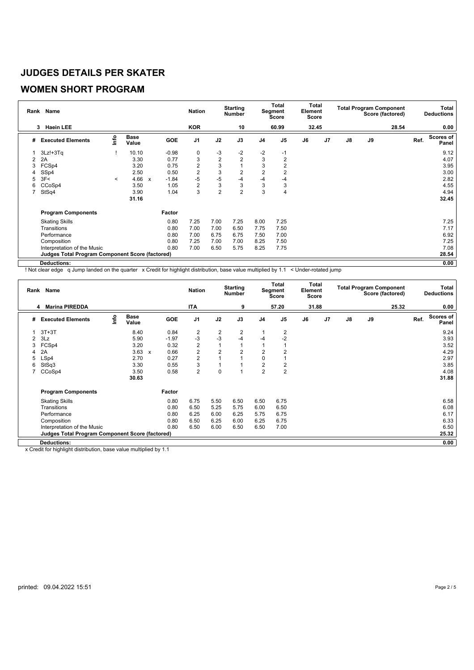# **WOMEN SHORT PROGRAM**

|                | Rank Name                                              |                                  |                      |              |         | <b>Nation</b>  |                | <b>Starting</b><br><b>Number</b> |                | Total<br>Segment<br><b>Score</b> | Element<br>Score | Total |               |    | <b>Total Program Component</b><br>Score (factored) |      | <b>Total</b><br><b>Deductions</b> |
|----------------|--------------------------------------------------------|----------------------------------|----------------------|--------------|---------|----------------|----------------|----------------------------------|----------------|----------------------------------|------------------|-------|---------------|----|----------------------------------------------------|------|-----------------------------------|
|                | <b>Haein LEE</b><br>3                                  |                                  |                      |              |         | <b>KOR</b>     |                | 10                               |                | 60.99                            | 32.45            |       |               |    | 28.54                                              |      | 0.00                              |
| #              | <b>Executed Elements</b>                               | $\mathop{\mathsf{Irr}}\nolimits$ | <b>Base</b><br>Value |              | GOE     | J <sub>1</sub> | J2             | J3                               | J <sub>4</sub> | J <sub>5</sub>                   | J6               | J7    | $\mathsf{J}8$ | J9 |                                                    | Ref. | Scores of<br>Panel                |
|                | $3Lz! + 3Tq$                                           |                                  | 10.10                |              | $-0.98$ | 0              | -3             | $-2$                             | $-2$           | $-1$                             |                  |       |               |    |                                                    |      | 9.12                              |
| $\overline{2}$ | 2A                                                     |                                  | 3.30                 |              | 0.77    | 3              | $\overline{2}$ | $\overline{2}$                   | 3              | $\overline{2}$                   |                  |       |               |    |                                                    |      | 4.07                              |
| 3              | FCSp4                                                  |                                  | 3.20                 |              | 0.75    | $\overline{2}$ | 3              |                                  | 3              | 2                                |                  |       |               |    |                                                    |      | 3.95                              |
| 4              | SSp4                                                   |                                  | 2.50                 |              | 0.50    | $\overline{2}$ | 3              | $\overline{2}$                   | $\overline{2}$ | $\overline{2}$                   |                  |       |               |    |                                                    |      | 3.00                              |
| 5              | 3F<                                                    | $\prec$                          | 4.66                 | $\mathbf{x}$ | $-1.84$ | $-5$           | $-5$           | $-4$                             | -4             | $-4$                             |                  |       |               |    |                                                    |      | 2.82                              |
| 6              | CCoSp4                                                 |                                  | 3.50                 |              | 1.05    | $\overline{2}$ | 3              | 3                                | 3              | 3                                |                  |       |               |    |                                                    |      | 4.55                              |
|                | StSq4                                                  |                                  | 3.90                 |              | 1.04    | 3              | $\overline{2}$ | $\overline{2}$                   | 3              | 4                                |                  |       |               |    |                                                    |      | 4.94                              |
|                |                                                        |                                  | 31.16                |              |         |                |                |                                  |                |                                  |                  |       |               |    |                                                    |      | 32.45                             |
|                | <b>Program Components</b>                              |                                  |                      |              | Factor  |                |                |                                  |                |                                  |                  |       |               |    |                                                    |      |                                   |
|                | <b>Skating Skills</b>                                  |                                  |                      |              | 0.80    | 7.25           | 7.00           | 7.25                             | 8.00           | 7.25                             |                  |       |               |    |                                                    |      | 7.25                              |
|                | Transitions                                            |                                  |                      |              | 0.80    | 7.00           | 7.00           | 6.50                             | 7.75           | 7.50                             |                  |       |               |    |                                                    |      | 7.17                              |
|                | Performance                                            |                                  |                      |              | 0.80    | 7.00           | 6.75           | 6.75                             | 7.50           | 7.00                             |                  |       |               |    |                                                    |      | 6.92                              |
|                | Composition                                            |                                  |                      |              | 0.80    | 7.25           | 7.00           | 7.00                             | 8.25           | 7.50                             |                  |       |               |    |                                                    |      | 7.25                              |
|                | Interpretation of the Music                            |                                  |                      |              | 0.80    | 7.00           | 6.50           | 5.75                             | 8.25           | 7.75                             |                  |       |               |    |                                                    |      | 7.08                              |
|                | <b>Judges Total Program Component Score (factored)</b> |                                  |                      |              |         |                |                |                                  |                |                                  |                  |       |               |    |                                                    |      | 28.54                             |
|                | <b>Deductions:</b>                                     |                                  |                      |              |         |                |                |                                  |                |                                  |                  |       |               |    |                                                    |      | 0.00                              |

! Not clear edge q Jump landed on the quarter x Credit for highlight distribution, base value multiplied by 1.1 < Under-rotated jump

|                | Rank Name                                              |      |                      |              |            | <b>Nation</b>           |                         | <b>Starting</b><br><b>Number</b> |                | <b>Total</b><br>Segment<br><b>Score</b> | Element<br>Score | Total          |               |    | <b>Total Program Component</b><br>Score (factored) |      | Total<br><b>Deductions</b> |
|----------------|--------------------------------------------------------|------|----------------------|--------------|------------|-------------------------|-------------------------|----------------------------------|----------------|-----------------------------------------|------------------|----------------|---------------|----|----------------------------------------------------|------|----------------------------|
|                | <b>Marina PIREDDA</b><br>4                             |      |                      |              |            | <b>ITA</b>              |                         | 9                                |                | 57.20                                   | 31.88            |                |               |    | 25.32                                              |      | 0.00                       |
| #              | <b>Executed Elements</b>                               | ١nfo | <b>Base</b><br>Value |              | <b>GOE</b> | J <sub>1</sub>          | J2                      | J3                               | J <sub>4</sub> | J <sub>5</sub>                          | J6               | J <sub>7</sub> | $\mathsf{J}8$ | J9 |                                                    | Ref. | Scores of<br>Panel         |
|                | $3T+3T$                                                |      | 8.40                 |              | 0.84       | $\overline{\mathbf{c}}$ | $\overline{\mathbf{c}}$ | 2                                |                | 2                                       |                  |                |               |    |                                                    |      | 9.24                       |
| $\overline{2}$ | 3Lz                                                    |      | 5.90                 |              | $-1.97$    | $-3$                    | $-3$                    | $-4$                             | -4             | $-2$                                    |                  |                |               |    |                                                    |      | 3.93                       |
| 3              | FCSp4                                                  |      | 3.20                 |              | 0.32       | $\overline{2}$          |                         |                                  |                |                                         |                  |                |               |    |                                                    |      | 3.52                       |
|                | 2A                                                     |      | 3.63                 | $\mathbf{x}$ | 0.66       | $\overline{2}$          | 2                       | $\overline{2}$                   | $\overline{2}$ | $\overline{2}$                          |                  |                |               |    |                                                    |      | 4.29                       |
| 5              | LSp4                                                   |      | 2.70                 |              | 0.27       | $\overline{2}$          |                         |                                  | 0              |                                         |                  |                |               |    |                                                    |      | 2.97                       |
| 6              | StSq3                                                  |      | 3.30                 |              | 0.55       | 3                       |                         |                                  | $\overline{2}$ | 2                                       |                  |                |               |    |                                                    |      | 3.85                       |
|                | CCoSp4                                                 |      | 3.50                 |              | 0.58       | $\overline{2}$          | $\mathbf 0$             | $\overline{A}$                   | $\overline{2}$ | $\overline{2}$                          |                  |                |               |    |                                                    |      | 4.08                       |
|                |                                                        |      | 30.63                |              |            |                         |                         |                                  |                |                                         |                  |                |               |    |                                                    |      | 31.88                      |
|                | <b>Program Components</b>                              |      |                      |              | Factor     |                         |                         |                                  |                |                                         |                  |                |               |    |                                                    |      |                            |
|                | <b>Skating Skills</b>                                  |      |                      |              | 0.80       | 6.75                    | 5.50                    | 6.50                             | 6.50           | 6.75                                    |                  |                |               |    |                                                    |      | 6.58                       |
|                | Transitions                                            |      |                      |              | 0.80       | 6.50                    | 5.25                    | 5.75                             | 6.00           | 6.50                                    |                  |                |               |    |                                                    |      | 6.08                       |
|                | Performance                                            |      |                      |              | 0.80       | 6.25                    | 6.00                    | 6.25                             | 5.75           | 6.75                                    |                  |                |               |    |                                                    |      | 6.17                       |
|                | Composition                                            |      |                      |              | 0.80       | 6.50                    | 6.25                    | 6.00                             | 6.25           | 6.75                                    |                  |                |               |    |                                                    |      | 6.33                       |
|                | Interpretation of the Music                            |      |                      |              | 0.80       | 6.50                    | 6.00                    | 6.50                             | 6.50           | 7.00                                    |                  |                |               |    |                                                    |      | 6.50                       |
|                | <b>Judges Total Program Component Score (factored)</b> |      |                      |              |            |                         |                         |                                  |                |                                         |                  |                |               |    |                                                    |      | 25.32                      |
|                | <b>Deductions:</b>                                     |      |                      |              |            |                         |                         |                                  |                |                                         |                  |                |               |    |                                                    |      | 0.00                       |

x Credit for highlight distribution, base value multiplied by 1.1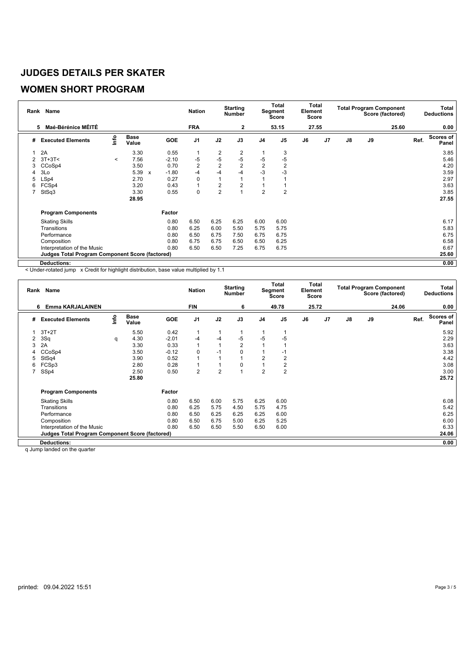# **WOMEN SHORT PROGRAM**

|                | Rank Name                                              |         |                      |                           |         | <b>Nation</b>  |                | <b>Starting</b><br><b>Number</b> |                | Total<br>Segment<br>Score | Total<br>Element<br>Score |    |               |    | <b>Total Program Component</b><br>Score (factored) |      | Total<br><b>Deductions</b> |
|----------------|--------------------------------------------------------|---------|----------------------|---------------------------|---------|----------------|----------------|----------------------------------|----------------|---------------------------|---------------------------|----|---------------|----|----------------------------------------------------|------|----------------------------|
|                | <b>Maé-Bérénice MÉITÉ</b><br>5                         |         |                      |                           |         | <b>FRA</b>     |                | $\mathbf{2}$                     |                | 53.15                     | 27.55                     |    |               |    | 25.60                                              |      | 0.00                       |
| #              | <b>Executed Elements</b>                               | Info    | <b>Base</b><br>Value |                           | GOE     | J <sub>1</sub> | J2             | J3                               | J4             | J5                        | J6                        | J7 | $\mathsf{J}8$ | J9 |                                                    | Ref. | <b>Scores of</b><br>Panel  |
|                | 2A                                                     |         | 3.30                 |                           | 0.55    | $\mathbf{1}$   | 2              | 2                                |                | 3                         |                           |    |               |    |                                                    |      | 3.85                       |
|                | $3T+3T<$                                               | $\prec$ | 7.56                 |                           | $-2.10$ | -5             | $-5$           | $-5$                             | $-5$           | $-5$                      |                           |    |               |    |                                                    |      | 5.46                       |
| 3              | CCoSp4                                                 |         | 3.50                 |                           | 0.70    | 2              | $\overline{2}$ | $\overline{2}$                   | $\overline{2}$ | $\overline{2}$            |                           |    |               |    |                                                    |      | 4.20                       |
|                | 3Lo                                                    |         | 5.39                 | $\boldsymbol{\mathsf{x}}$ | $-1.80$ | -4             | $-4$           | $-4$                             | $-3$           | $-3$                      |                           |    |               |    |                                                    |      | 3.59                       |
| 5              | LSp4                                                   |         | 2.70                 |                           | 0.27    | 0              | 1              |                                  |                |                           |                           |    |               |    |                                                    |      | 2.97                       |
| 6              | FCSp4                                                  |         | 3.20                 |                           | 0.43    | 1              | $\overline{2}$ | $\overline{2}$                   |                |                           |                           |    |               |    |                                                    |      | 3.63                       |
| $\overline{7}$ | StSq3                                                  |         | 3.30                 |                           | 0.55    | 0              | $\overline{2}$ |                                  | $\overline{2}$ | $\overline{2}$            |                           |    |               |    |                                                    |      | 3.85                       |
|                |                                                        |         | 28.95                |                           |         |                |                |                                  |                |                           |                           |    |               |    |                                                    |      | 27.55                      |
|                | <b>Program Components</b>                              |         |                      |                           | Factor  |                |                |                                  |                |                           |                           |    |               |    |                                                    |      |                            |
|                | <b>Skating Skills</b>                                  |         |                      |                           | 0.80    | 6.50           | 6.25           | 6.25                             | 6.00           | 6.00                      |                           |    |               |    |                                                    |      | 6.17                       |
|                | Transitions                                            |         |                      |                           | 0.80    | 6.25           | 6.00           | 5.50                             | 5.75           | 5.75                      |                           |    |               |    |                                                    |      | 5.83                       |
|                | Performance                                            |         |                      |                           | 0.80    | 6.50           | 6.75           | 7.50                             | 6.75           | 6.75                      |                           |    |               |    |                                                    |      | 6.75                       |
|                | Composition                                            |         |                      |                           | 0.80    | 6.75           | 6.75           | 6.50                             | 6.50           | 6.25                      |                           |    |               |    |                                                    |      | 6.58                       |
|                | Interpretation of the Music                            |         |                      |                           | 0.80    | 6.50           | 6.50           | 7.25                             | 6.75           | 6.75                      |                           |    |               |    |                                                    |      | 6.67                       |
|                | <b>Judges Total Program Component Score (factored)</b> |         |                      |                           |         |                |                |                                  |                |                           |                           |    |               |    |                                                    |      | 25.60                      |
|                | <b>Deductions:</b>                                     |         |                      |                           |         |                |                |                                  |                |                           |                           |    |               |    |                                                    |      | 0.00                       |

< Under-rotated jump x Credit for highlight distribution, base value multiplied by 1.1

|                | Rank Name                                              |                                  |                      |         | <b>Nation</b>  |                | <b>Starting</b><br><b>Number</b> |                | Total<br>Segment<br><b>Score</b> | Total<br>Element<br><b>Score</b> |    |               |    | <b>Total Program Component</b><br>Score (factored) |      | <b>Total</b><br><b>Deductions</b> |
|----------------|--------------------------------------------------------|----------------------------------|----------------------|---------|----------------|----------------|----------------------------------|----------------|----------------------------------|----------------------------------|----|---------------|----|----------------------------------------------------|------|-----------------------------------|
|                | <b>Emma KARJALAINEN</b><br>6                           |                                  |                      |         | <b>FIN</b>     |                | 6                                |                | 49.78                            | 25.72                            |    |               |    | 24.06                                              |      | 0.00                              |
| #              | <b>Executed Elements</b>                               | $\mathop{\mathsf{Irr}}\nolimits$ | <b>Base</b><br>Value | GOE     | J <sub>1</sub> | J2             | J3                               | J <sub>4</sub> | J <sub>5</sub>                   | J6                               | J7 | $\mathsf{J}8$ | J9 |                                                    | Ref. | <b>Scores of</b><br>Panel         |
|                | $3T+2T$                                                |                                  | 5.50                 | 0.42    | $\mathbf{1}$   | 1              |                                  |                |                                  |                                  |    |               |    |                                                    |      | 5.92                              |
| $\overline{2}$ | 3Sq                                                    | q                                | 4.30                 | $-2.01$ | -4             | -4             | $-5$                             | $-5$           | $-5$                             |                                  |    |               |    |                                                    |      | 2.29                              |
| 3              | 2A                                                     |                                  | 3.30                 | 0.33    | $\mathbf{1}$   | 1              | $\overline{2}$                   |                |                                  |                                  |    |               |    |                                                    |      | 3.63                              |
|                | CCoSp4                                                 |                                  | 3.50                 | $-0.12$ | 0              | $-1$           | 0                                |                | -1                               |                                  |    |               |    |                                                    |      | 3.38                              |
| 5              | StSq4                                                  |                                  | 3.90                 | 0.52    | $\mathbf{1}$   | 1              |                                  | $\overline{2}$ | $\overline{2}$                   |                                  |    |               |    |                                                    |      | 4.42                              |
| 6              | FCSp3                                                  |                                  | 2.80                 | 0.28    | $\mathbf{1}$   | 1              | 0                                |                | 2                                |                                  |    |               |    |                                                    |      | 3.08                              |
| 7              | SSp4                                                   |                                  | 2.50                 | 0.50    | $\overline{2}$ | $\overline{2}$ |                                  | $\overline{2}$ | $\overline{2}$                   |                                  |    |               |    |                                                    |      | 3.00                              |
|                |                                                        |                                  | 25.80                |         |                |                |                                  |                |                                  |                                  |    |               |    |                                                    |      | 25.72                             |
|                | <b>Program Components</b>                              |                                  |                      | Factor  |                |                |                                  |                |                                  |                                  |    |               |    |                                                    |      |                                   |
|                | <b>Skating Skills</b>                                  |                                  |                      | 0.80    | 6.50           | 6.00           | 5.75                             | 6.25           | 6.00                             |                                  |    |               |    |                                                    |      | 6.08                              |
|                | Transitions                                            |                                  |                      | 0.80    | 6.25           | 5.75           | 4.50                             | 5.75           | 4.75                             |                                  |    |               |    |                                                    |      | 5.42                              |
|                | Performance                                            |                                  |                      | 0.80    | 6.50           | 6.25           | 6.25                             | 6.25           | 6.00                             |                                  |    |               |    |                                                    |      | 6.25                              |
|                | Composition                                            |                                  |                      | 0.80    | 6.50           | 6.75           | 5.00                             | 6.25           | 5.25                             |                                  |    |               |    |                                                    |      | 6.00                              |
|                | Interpretation of the Music                            |                                  |                      | 0.80    | 6.50           | 6.50           | 5.50                             | 6.50           | 6.00                             |                                  |    |               |    |                                                    |      | 6.33                              |
|                | <b>Judges Total Program Component Score (factored)</b> |                                  |                      |         |                |                |                                  |                |                                  |                                  |    |               |    |                                                    |      | 24.06                             |
|                | <b>Deductions:</b>                                     |                                  |                      |         |                |                |                                  |                |                                  |                                  |    |               |    |                                                    |      | 0.00                              |

q Jump landed on the quarter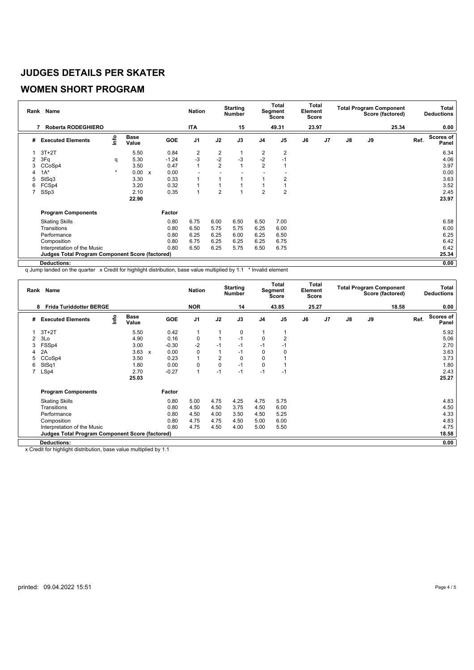#### **WOMEN SHORT PROGRAM**

|   | Rank Name                                              |         |                      |                           |         | <b>Nation</b>  |                         | <b>Starting</b><br><b>Number</b> |                | Total<br>Segment<br><b>Score</b> | Total<br>Element<br><b>Score</b> |    |               |    | <b>Total Program Component</b><br>Score (factored) |      | Total<br><b>Deductions</b> |
|---|--------------------------------------------------------|---------|----------------------|---------------------------|---------|----------------|-------------------------|----------------------------------|----------------|----------------------------------|----------------------------------|----|---------------|----|----------------------------------------------------|------|----------------------------|
|   | Roberta RODEGHIERO<br>7                                |         |                      |                           |         | <b>ITA</b>     |                         | 15                               |                | 49.31                            | 23.97                            |    |               |    | 25.34                                              |      | 0.00                       |
| # | <b>Executed Elements</b>                               | lnfo    | <b>Base</b><br>Value |                           | GOE     | J <sub>1</sub> | J2                      | J3                               | J <sub>4</sub> | J <sub>5</sub>                   | J6                               | J7 | $\mathsf{J}8$ | J9 |                                                    | Ref. | <b>Scores of</b><br>Panel  |
|   | $3T+2T$                                                |         | 5.50                 |                           | 0.84    | $\overline{2}$ | $\overline{\mathbf{c}}$ |                                  | 2              | $\overline{2}$                   |                                  |    |               |    |                                                    |      | 6.34                       |
| 2 | 3Fq                                                    | q       | 5.30                 |                           | $-1.24$ | $-3$           | $-2$                    | $-3$                             | $-2$           | $-1$                             |                                  |    |               |    |                                                    |      | 4.06                       |
|   | CCoSp4                                                 |         | 3.50                 |                           | 0.47    | $\overline{1}$ | $\overline{2}$          |                                  | $\overline{2}$ |                                  |                                  |    |               |    |                                                    |      | 3.97                       |
| 4 | $1A^*$                                                 | $\star$ | 0.00                 | $\boldsymbol{\mathsf{x}}$ | 0.00    |                |                         |                                  |                |                                  |                                  |    |               |    |                                                    |      | 0.00                       |
| 5 | StSq3                                                  |         | 3.30                 |                           | 0.33    |                |                         |                                  |                | 2                                |                                  |    |               |    |                                                    |      | 3.63                       |
| 6 | FCSp4                                                  |         | 3.20                 |                           | 0.32    |                |                         |                                  |                |                                  |                                  |    |               |    |                                                    |      | 3.52                       |
| 7 | SSp3                                                   |         | 2.10                 |                           | 0.35    |                | $\overline{2}$          |                                  | $\overline{2}$ | $\overline{2}$                   |                                  |    |               |    |                                                    |      | 2.45                       |
|   |                                                        |         | 22.90                |                           |         |                |                         |                                  |                |                                  |                                  |    |               |    |                                                    |      | 23.97                      |
|   | <b>Program Components</b>                              |         |                      |                           | Factor  |                |                         |                                  |                |                                  |                                  |    |               |    |                                                    |      |                            |
|   | <b>Skating Skills</b>                                  |         |                      |                           | 0.80    | 6.75           | 6.00                    | 6.50                             | 6.50           | 7.00                             |                                  |    |               |    |                                                    |      | 6.58                       |
|   | Transitions                                            |         |                      |                           | 0.80    | 6.50           | 5.75                    | 5.75                             | 6.25           | 6.00                             |                                  |    |               |    |                                                    |      | 6.00                       |
|   | Performance                                            |         |                      |                           | 0.80    | 6.25           | 6.25                    | 6.00                             | 6.25           | 6.50                             |                                  |    |               |    |                                                    |      | 6.25                       |
|   | Composition                                            |         |                      |                           | 0.80    | 6.75           | 6.25                    | 6.25                             | 6.25           | 6.75                             |                                  |    |               |    |                                                    |      | 6.42                       |
|   | Interpretation of the Music                            |         |                      |                           | 0.80    | 6.50           | 6.25                    | 5.75                             | 6.50           | 6.75                             |                                  |    |               |    |                                                    |      | 6.42                       |
|   | <b>Judges Total Program Component Score (factored)</b> |         |                      |                           |         |                |                         |                                  |                |                                  |                                  |    |               |    |                                                    |      | 25.34                      |
|   | <b>Deductions:</b>                                     |         |                      |                           |         |                |                         |                                  |                |                                  |                                  |    |               |    |                                                    |      | 0.00                       |

q Jump landed on the quarter x Credit for highlight distribution, base value multiplied by 1.1 \* Invalid element

|                | Rank Name                                              |      |                      |              |            | <b>Nation</b>  |                | <b>Starting</b><br>Number |                | <b>Total</b><br>Segment<br><b>Score</b> | Element<br><b>Score</b> | Total          |    |    | <b>Total Program Component</b><br>Score (factored) |      | Total<br><b>Deductions</b> |
|----------------|--------------------------------------------------------|------|----------------------|--------------|------------|----------------|----------------|---------------------------|----------------|-----------------------------------------|-------------------------|----------------|----|----|----------------------------------------------------|------|----------------------------|
|                | <b>Frida Turiddotter BERGE</b><br>8                    |      |                      |              |            | <b>NOR</b>     |                | 14                        |                | 43.85                                   | 25.27                   |                |    |    | 18.58                                              |      | 0.00                       |
| #              | <b>Executed Elements</b>                               | lnfo | <b>Base</b><br>Value |              | <b>GOE</b> | J <sub>1</sub> | J2             | J3                        | J <sub>4</sub> | J <sub>5</sub>                          | J6                      | J <sub>7</sub> | J8 | J9 |                                                    | Ref. | <b>Scores of</b><br>Panel  |
|                | $3T+2T$                                                |      | 5.50                 |              | 0.42       |                |                | 0                         |                |                                         |                         |                |    |    |                                                    |      | 5.92                       |
| 2              | 3Lo                                                    |      | 4.90                 |              | 0.16       | $\mathbf 0$    |                | $-1$                      | $\mathbf 0$    | $\overline{2}$                          |                         |                |    |    |                                                    |      | 5.06                       |
| 3              | FSSp4                                                  |      | 3.00                 |              | $-0.30$    | $-2$           | $-1$           | $-1$                      | $-1$           | -1                                      |                         |                |    |    |                                                    |      | 2.70                       |
|                | 2A                                                     |      | 3.63                 | $\mathsf{x}$ | 0.00       | 0              |                | $-1$                      | 0              | $\Omega$                                |                         |                |    |    |                                                    |      | 3.63                       |
|                | CCoSp4                                                 |      | 3.50                 |              | 0.23       |                | $\overline{2}$ | 0                         | $\Omega$       |                                         |                         |                |    |    |                                                    |      | 3.73                       |
| 6              | StSq1                                                  |      | 1.80                 |              | 0.00       | $\mathbf 0$    | 0              | $-1$                      | 0              |                                         |                         |                |    |    |                                                    |      | 1.80                       |
| $\overline{7}$ | LSp4                                                   |      | 2.70                 |              | $-0.27$    | 1              | $-1$           | $-1$                      | $-1$           | $-1$                                    |                         |                |    |    |                                                    |      | 2.43                       |
|                |                                                        |      | 25.03                |              |            |                |                |                           |                |                                         |                         |                |    |    |                                                    |      | 25.27                      |
|                | <b>Program Components</b>                              |      |                      |              | Factor     |                |                |                           |                |                                         |                         |                |    |    |                                                    |      |                            |
|                | <b>Skating Skills</b>                                  |      |                      |              | 0.80       | 5.00           | 4.75           | 4.25                      | 4.75           | 5.75                                    |                         |                |    |    |                                                    |      | 4.83                       |
|                | Transitions                                            |      |                      |              | 0.80       | 4.50           | 4.50           | 3.75                      | 4.50           | 6.00                                    |                         |                |    |    |                                                    |      | 4.50                       |
|                | Performance                                            |      |                      |              | 0.80       | 4.50           | 4.00           | 3.50                      | 4.50           | 5.25                                    |                         |                |    |    |                                                    |      | 4.33                       |
|                | Composition                                            |      |                      |              | 0.80       | 4.75           | 4.75           | 4.50                      | 5.00           | 6.00                                    |                         |                |    |    |                                                    |      | 4.83                       |
|                | Interpretation of the Music                            |      |                      |              | 0.80       | 4.75           | 4.50           | 4.00                      | 5.00           | 5.50                                    |                         |                |    |    |                                                    |      | 4.75                       |
|                | <b>Judges Total Program Component Score (factored)</b> |      |                      |              |            |                |                |                           |                |                                         |                         |                |    |    |                                                    |      | 18.58                      |
|                | <b>Deductions:</b>                                     |      |                      |              |            |                |                |                           |                |                                         |                         |                |    |    |                                                    |      | 0.00                       |

x Credit for highlight distribution, base value multiplied by 1.1